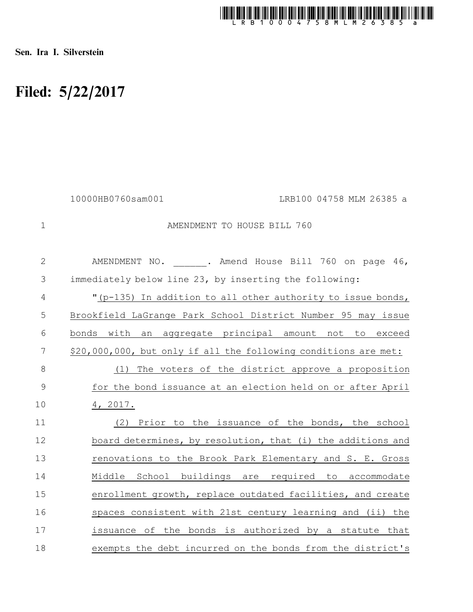

Sen. Ira I. Silverstein

## Filed: 5/22/2017

|              | 10000HB0760sam001 | LRB100 04758 MLM 26385 a                                        |
|--------------|-------------------|-----------------------------------------------------------------|
| $\mathbf 1$  |                   | AMENDMENT TO HOUSE BILL 760                                     |
| $\mathbf{2}$ |                   | AMENDMENT NO. . Amend House Bill 760 on page 46,                |
| 3            |                   | immediately below line 23, by inserting the following:          |
| 4            |                   | "(p-135) In addition to all other authority to issue bonds,     |
| 5            |                   | Brookfield LaGrange Park School District Number 95 may issue    |
| 6            |                   | bonds with an aggregate principal amount not to exceed          |
| 7            |                   | \$20,000,000, but only if all the following conditions are met: |
| 8            |                   | (1) The voters of the district approve a proposition            |
| $\mathsf 9$  |                   | for the bond issuance at an election held on or after April     |
| 10           | 4, 2017.          |                                                                 |
| 11           | (2)               | Prior to the issuance of the bonds, the school                  |
| 12           |                   | board determines, by resolution, that (i) the additions and     |
| 13           |                   | renovations to the Brook Park Elementary and S. E. Gross        |
| 14           |                   | Middle School buildings are required to accommodate             |
| 15           |                   | enrollment growth, replace outdated facilities, and create      |
| 16           |                   | spaces consistent with 21st century learning and (ii) the       |
| 17           |                   | issuance of the bonds is authorized by a statute that           |
| 18           |                   | exempts the debt incurred on the bonds from the district's      |